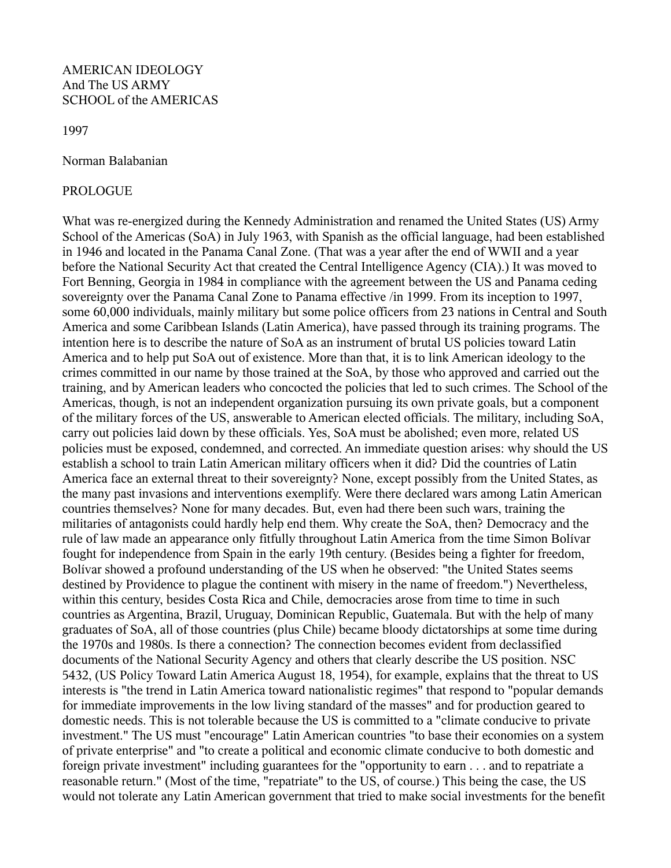## AMERICAN IDEOLOGY And The US ARMY SCHOOL of the AMERICAS

1997

Norman Balabanian

## PROLOGUE

What was re-energized during the Kennedy Administration and renamed the United States (US) Army School of the Americas (SoA) in July 1963, with Spanish as the official language, had been established in 1946 and located in the Panama Canal Zone. (That was a year after the end of WWII and a year before the National Security Act that created the Central Intelligence Agency (CIA).) It was moved to Fort Benning, Georgia in 1984 in compliance with the agreement between the US and Panama ceding sovereignty over the Panama Canal Zone to Panama effective /in 1999. From its inception to 1997, some 60,000 individuals, mainly military but some police officers from 23 nations in Central and South America and some Caribbean Islands (Latin America), have passed through its training programs. The intention here is to describe the nature of SoA as an instrument of brutal US policies toward Latin America and to help put SoA out of existence. More than that, it is to link American ideology to the crimes committed in our name by those trained at the SoA, by those who approved and carried out the training, and by American leaders who concocted the policies that led to such crimes. The School of the Americas, though, is not an independent organization pursuing its own private goals, but a component of the military forces of the US, answerable to American elected officials. The military, including SoA, carry out policies laid down by these officials. Yes, SoA must be abolished; even more, related US policies must be exposed, condemned, and corrected. An immediate question arises: why should the US establish a school to train Latin American military officers when it did? Did the countries of Latin America face an external threat to their sovereignty? None, except possibly from the United States, as the many past invasions and interventions exemplify. Were there declared wars among Latin American countries themselves? None for many decades. But, even had there been such wars, training the militaries of antagonists could hardly help end them. Why create the SoA, then? Democracy and the rule of law made an appearance only fitfully throughout Latin America from the time Simon Bolívar fought for independence from Spain in the early 19th century. (Besides being a fighter for freedom, Bolívar showed a profound understanding of the US when he observed: "the United States seems destined by Providence to plague the continent with misery in the name of freedom.") Nevertheless, within this century, besides Costa Rica and Chile, democracies arose from time to time in such countries as Argentina, Brazil, Uruguay, Dominican Republic, Guatemala. But with the help of many graduates of SoA, all of those countries (plus Chile) became bloody dictatorships at some time during the 1970s and 1980s. Is there a connection? The connection becomes evident from declassified documents of the National Security Agency and others that clearly describe the US position. NSC 5432, (US Policy Toward Latin America August 18, 1954), for example, explains that the threat to US interests is "the trend in Latin America toward nationalistic regimes" that respond to "popular demands for immediate improvements in the low living standard of the masses" and for production geared to domestic needs. This is not tolerable because the US is committed to a "climate conducive to private investment." The US must "encourage" Latin American countries "to base their economies on a system of private enterprise" and "to create a political and economic climate conducive to both domestic and foreign private investment" including guarantees for the "opportunity to earn . . . and to repatriate a reasonable return." (Most of the time, "repatriate" to the US, of course.) This being the case, the US would not tolerate any Latin American government that tried to make social investments for the benefit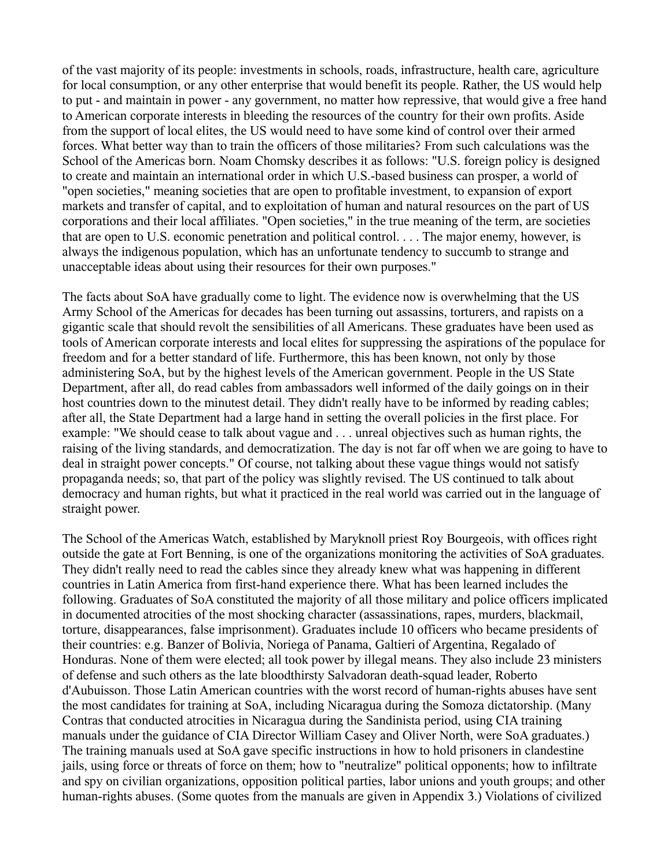of the vast majority of its people: investments in schools, roads, infrastructure, health care, agriculture for local consumption, or any other enterprise that would benefit its people. Rather, the US would help to put - and maintain in power - any government, no matter how repressive, that would give a free hand to American corporate interests in bleeding the resources of the country for their own profits. Aside from the support of local elites, the US would need to have some kind of control over their armed forces. What better way than to train the officers of those militaries? From such calculations was the School of the Americas born. Noam Chomsky describes it as follows: "U.S. foreign policy is designed to create and maintain an international order in which U.S.-based business can prosper, a world of "open societies," meaning societies that are open to profitable investment, to expansion of export markets and transfer of capital, and to exploitation of human and natural resources on the part of US corporations and their local affiliates. "Open societies," in the true meaning of the term, are societies that are open to U.S. economic penetration and political control. . . . The major enemy, however, is always the indigenous population, which has an unfortunate tendency to succumb to strange and unacceptable ideas about using their resources for their own purposes."

The facts about SoA have gradually come to light. The evidence now is overwhelming that the US Army School of the Americas for decades has been turning out assassins, torturers, and rapists on a gigantic scale that should revolt the sensibilities of all Americans. These graduates have been used as tools of American corporate interests and local elites for suppressing the aspirations of the populace for freedom and for a better standard of life. Furthermore, this has been known, not only by those administering SoA, but by the highest levels of the American government. People in the US State Department, after all, do read cables from ambassadors well informed of the daily goings on in their host countries down to the minutest detail. They didn't really have to be informed by reading cables; after all, the State Department had a large hand in setting the overall policies in the first place. For example: "We should cease to talk about vague and . . . unreal objectives such as human rights, the raising of the living standards, and democratization. The day is not far off when we are going to have to deal in straight power concepts." Of course, not talking about these vague things would not satisfy propaganda needs; so, that part of the policy was slightly revised. The US continued to talk about democracy and human rights, but what it practiced in the real world was carried out in the language of straight power.

The School of the Americas Watch, established by Maryknoll priest Roy Bourgeois, with offices right outside the gate at Fort Benning, is one of the organizations monitoring the activities of SoA graduates. They didn't really need to read the cables since they already knew what was happening in different countries in Latin America from first-hand experience there. What has been learned includes the following. Graduates of SoA constituted the majority of all those military and police officers implicated in documented atrocities of the most shocking character (assassinations, rapes, murders, blackmail, torture, disappearances, false imprisonment). Graduates include 10 officers who became presidents of their countries: e.g. Banzer of Bolivia, Noriega of Panama, Galtieri of Argentina, Regalado of Honduras. None of them were elected; all took power by illegal means. They also include 23 ministers of defense and such others as the late bloodthirsty Salvadoran death-squad leader, Roberto d'Aubuisson. Those Latin American countries with the worst record of human-rights abuses have sent the most candidates for training at SoA, including Nicaragua during the Somoza dictatorship. (Many Contras that conducted atrocities in Nicaragua during the Sandinista period, using CIA training manuals under the guidance of CIA Director William Casey and Oliver North, were SoA graduates.) The training manuals used at SoA gave specific instructions in how to hold prisoners in clandestine jails, using force or threats of force on them; how to "neutralize" political opponents; how to infiltrate and spy on civilian organizations, opposition political parties, labor unions and youth groups; and other human-rights abuses. (Some quotes from the manuals are given in Appendix 3.) Violations of civilized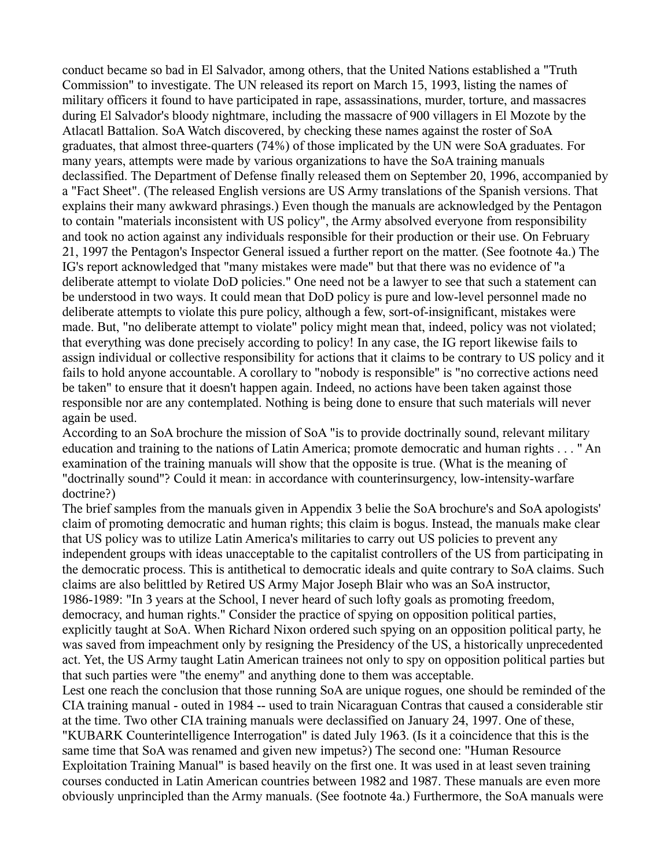conduct became so bad in El Salvador, among others, that the United Nations established a "Truth Commission" to investigate. The UN released its report on March 15, 1993, listing the names of military officers it found to have participated in rape, assassinations, murder, torture, and massacres during El Salvador's bloody nightmare, including the massacre of 900 villagers in El Mozote by the Atlacatl Battalion. SoA Watch discovered, by checking these names against the roster of SoA graduates, that almost three-quarters (74%) of those implicated by the UN were SoA graduates. For many years, attempts were made by various organizations to have the SoA training manuals declassified. The Department of Defense finally released them on September 20, 1996, accompanied by a "Fact Sheet". (The released English versions are US Army translations of the Spanish versions. That explains their many awkward phrasings.) Even though the manuals are acknowledged by the Pentagon to contain "materials inconsistent with US policy", the Army absolved everyone from responsibility and took no action against any individuals responsible for their production or their use. On February 21, 1997 the Pentagon's Inspector General issued a further report on the matter. (See footnote 4a.) The IG's report acknowledged that "many mistakes were made" but that there was no evidence of "a deliberate attempt to violate DoD policies." One need not be a lawyer to see that such a statement can be understood in two ways. It could mean that DoD policy is pure and low-level personnel made no deliberate attempts to violate this pure policy, although a few, sort-of-insignificant, mistakes were made. But, "no deliberate attempt to violate" policy might mean that, indeed, policy was not violated; that everything was done precisely according to policy! In any case, the IG report likewise fails to assign individual or collective responsibility for actions that it claims to be contrary to US policy and it fails to hold anyone accountable. A corollary to "nobody is responsible" is "no corrective actions need be taken" to ensure that it doesn't happen again. Indeed, no actions have been taken against those responsible nor are any contemplated. Nothing is being done to ensure that such materials will never again be used.

According to an SoA brochure the mission of SoA "is to provide doctrinally sound, relevant military education and training to the nations of Latin America; promote democratic and human rights . . . " An examination of the training manuals will show that the opposite is true. (What is the meaning of "doctrinally sound"? Could it mean: in accordance with counterinsurgency, low-intensity-warfare doctrine?)

The brief samples from the manuals given in Appendix 3 belie the SoA brochure's and SoA apologists' claim of promoting democratic and human rights; this claim is bogus. Instead, the manuals make clear that US policy was to utilize Latin America's militaries to carry out US policies to prevent any independent groups with ideas unacceptable to the capitalist controllers of the US from participating in the democratic process. This is antithetical to democratic ideals and quite contrary to SoA claims. Such claims are also belittled by Retired US Army Major Joseph Blair who was an SoA instructor, 1986-1989: "In 3 years at the School, I never heard of such lofty goals as promoting freedom, democracy, and human rights." Consider the practice of spying on opposition political parties, explicitly taught at SoA. When Richard Nixon ordered such spying on an opposition political party, he was saved from impeachment only by resigning the Presidency of the US, a historically unprecedented act. Yet, the US Army taught Latin American trainees not only to spy on opposition political parties but that such parties were "the enemy" and anything done to them was acceptable.

Lest one reach the conclusion that those running SoA are unique rogues, one should be reminded of the CIA training manual - outed in 1984 -- used to train Nicaraguan Contras that caused a considerable stir at the time. Two other CIA training manuals were declassified on January 24, 1997. One of these, "KUBARK Counterintelligence Interrogation" is dated July 1963. (Is it a coincidence that this is the same time that SoA was renamed and given new impetus?) The second one: "Human Resource Exploitation Training Manual" is based heavily on the first one. It was used in at least seven training courses conducted in Latin American countries between 1982 and 1987. These manuals are even more obviously unprincipled than the Army manuals. (See footnote 4a.) Furthermore, the SoA manuals were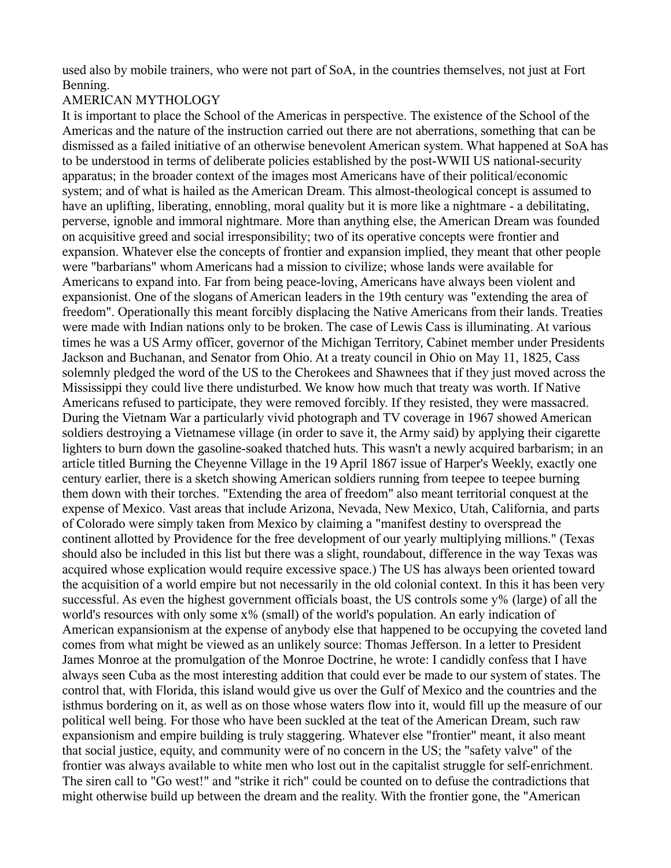used also by mobile trainers, who were not part of SoA, in the countries themselves, not just at Fort Benning.

## AMERICAN MYTHOLOGY

It is important to place the School of the Americas in perspective. The existence of the School of the Americas and the nature of the instruction carried out there are not aberrations, something that can be dismissed as a failed initiative of an otherwise benevolent American system. What happened at SoA has to be understood in terms of deliberate policies established by the post-WWII US national-security apparatus; in the broader context of the images most Americans have of their political/economic system; and of what is hailed as the American Dream. This almost-theological concept is assumed to have an uplifting, liberating, ennobling, moral quality but it is more like a nightmare - a debilitating, perverse, ignoble and immoral nightmare. More than anything else, the American Dream was founded on acquisitive greed and social irresponsibility; two of its operative concepts were frontier and expansion. Whatever else the concepts of frontier and expansion implied, they meant that other people were "barbarians" whom Americans had a mission to civilize; whose lands were available for Americans to expand into. Far from being peace-loving, Americans have always been violent and expansionist. One of the slogans of American leaders in the 19th century was "extending the area of freedom". Operationally this meant forcibly displacing the Native Americans from their lands. Treaties were made with Indian nations only to be broken. The case of Lewis Cass is illuminating. At various times he was a US Army officer, governor of the Michigan Territory, Cabinet member under Presidents Jackson and Buchanan, and Senator from Ohio. At a treaty council in Ohio on May 11, 1825, Cass solemnly pledged the word of the US to the Cherokees and Shawnees that if they just moved across the Mississippi they could live there undisturbed. We know how much that treaty was worth. If Native Americans refused to participate, they were removed forcibly. If they resisted, they were massacred. During the Vietnam War a particularly vivid photograph and TV coverage in 1967 showed American soldiers destroying a Vietnamese village (in order to save it, the Army said) by applying their cigarette lighters to burn down the gasoline-soaked thatched huts. This wasn't a newly acquired barbarism; in an article titled Burning the Cheyenne Village in the 19 April 1867 issue of Harper's Weekly, exactly one century earlier, there is a sketch showing American soldiers running from teepee to teepee burning them down with their torches. "Extending the area of freedom" also meant territorial conquest at the expense of Mexico. Vast areas that include Arizona, Nevada, New Mexico, Utah, California, and parts of Colorado were simply taken from Mexico by claiming a "manifest destiny to overspread the continent allotted by Providence for the free development of our yearly multiplying millions." (Texas should also be included in this list but there was a slight, roundabout, difference in the way Texas was acquired whose explication would require excessive space.) The US has always been oriented toward the acquisition of a world empire but not necessarily in the old colonial context. In this it has been very successful. As even the highest government officials boast, the US controls some y% (large) of all the world's resources with only some x% (small) of the world's population. An early indication of American expansionism at the expense of anybody else that happened to be occupying the coveted land comes from what might be viewed as an unlikely source: Thomas Jefferson. In a letter to President James Monroe at the promulgation of the Monroe Doctrine, he wrote: I candidly confess that I have always seen Cuba as the most interesting addition that could ever be made to our system of states. The control that, with Florida, this island would give us over the Gulf of Mexico and the countries and the isthmus bordering on it, as well as on those whose waters flow into it, would fill up the measure of our political well being. For those who have been suckled at the teat of the American Dream, such raw expansionism and empire building is truly staggering. Whatever else "frontier" meant, it also meant that social justice, equity, and community were of no concern in the US; the "safety valve" of the frontier was always available to white men who lost out in the capitalist struggle for self-enrichment. The siren call to "Go west!" and "strike it rich" could be counted on to defuse the contradictions that might otherwise build up between the dream and the reality. With the frontier gone, the "American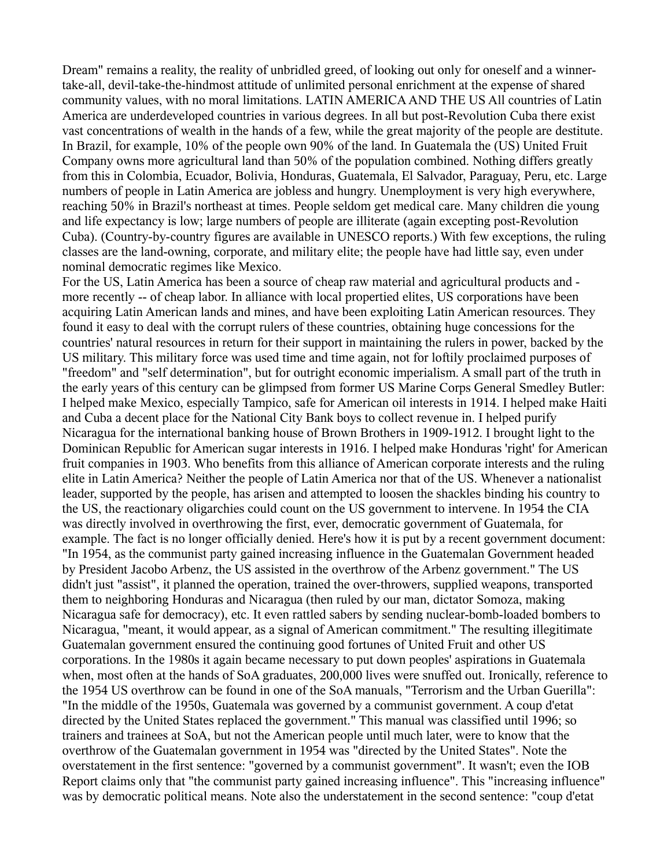Dream" remains a reality, the reality of unbridled greed, of looking out only for oneself and a winnertake-all, devil-take-the-hindmost attitude of unlimited personal enrichment at the expense of shared community values, with no moral limitations. LATIN AMERICA AND THE US All countries of Latin America are underdeveloped countries in various degrees. In all but post-Revolution Cuba there exist vast concentrations of wealth in the hands of a few, while the great majority of the people are destitute. In Brazil, for example, 10% of the people own 90% of the land. In Guatemala the (US) United Fruit Company owns more agricultural land than 50% of the population combined. Nothing differs greatly from this in Colombia, Ecuador, Bolivia, Honduras, Guatemala, El Salvador, Paraguay, Peru, etc. Large numbers of people in Latin America are jobless and hungry. Unemployment is very high everywhere, reaching 50% in Brazil's northeast at times. People seldom get medical care. Many children die young and life expectancy is low; large numbers of people are illiterate (again excepting post-Revolution Cuba). (Country-by-country figures are available in UNESCO reports.) With few exceptions, the ruling classes are the land-owning, corporate, and military elite; the people have had little say, even under nominal democratic regimes like Mexico.

For the US, Latin America has been a source of cheap raw material and agricultural products and more recently -- of cheap labor. In alliance with local propertied elites, US corporations have been acquiring Latin American lands and mines, and have been exploiting Latin American resources. They found it easy to deal with the corrupt rulers of these countries, obtaining huge concessions for the countries' natural resources in return for their support in maintaining the rulers in power, backed by the US military. This military force was used time and time again, not for loftily proclaimed purposes of "freedom" and "self determination", but for outright economic imperialism. A small part of the truth in the early years of this century can be glimpsed from former US Marine Corps General Smedley Butler: I helped make Mexico, especially Tampico, safe for American oil interests in 1914. I helped make Haiti and Cuba a decent place for the National City Bank boys to collect revenue in. I helped purify Nicaragua for the international banking house of Brown Brothers in 1909-1912. I brought light to the Dominican Republic for American sugar interests in 1916. I helped make Honduras 'right' for American fruit companies in 1903. Who benefits from this alliance of American corporate interests and the ruling elite in Latin America? Neither the people of Latin America nor that of the US. Whenever a nationalist leader, supported by the people, has arisen and attempted to loosen the shackles binding his country to the US, the reactionary oligarchies could count on the US government to intervene. In 1954 the CIA was directly involved in overthrowing the first, ever, democratic government of Guatemala, for example. The fact is no longer officially denied. Here's how it is put by a recent government document: "In 1954, as the communist party gained increasing influence in the Guatemalan Government headed by President Jacobo Arbenz, the US assisted in the overthrow of the Arbenz government." The US didn't just "assist", it planned the operation, trained the over-throwers, supplied weapons, transported them to neighboring Honduras and Nicaragua (then ruled by our man, dictator Somoza, making Nicaragua safe for democracy), etc. It even rattled sabers by sending nuclear-bomb-loaded bombers to Nicaragua, "meant, it would appear, as a signal of American commitment." The resulting illegitimate Guatemalan government ensured the continuing good fortunes of United Fruit and other US corporations. In the 1980s it again became necessary to put down peoples' aspirations in Guatemala when, most often at the hands of SoA graduates, 200,000 lives were snuffed out. Ironically, reference to the 1954 US overthrow can be found in one of the SoA manuals, "Terrorism and the Urban Guerilla": "In the middle of the 1950s, Guatemala was governed by a communist government. A coup d'etat directed by the United States replaced the government." This manual was classified until 1996; so trainers and trainees at SoA, but not the American people until much later, were to know that the overthrow of the Guatemalan government in 1954 was "directed by the United States". Note the overstatement in the first sentence: "governed by a communist government". It wasn't; even the IOB Report claims only that "the communist party gained increasing influence". This "increasing influence" was by democratic political means. Note also the understatement in the second sentence: "coup d'etat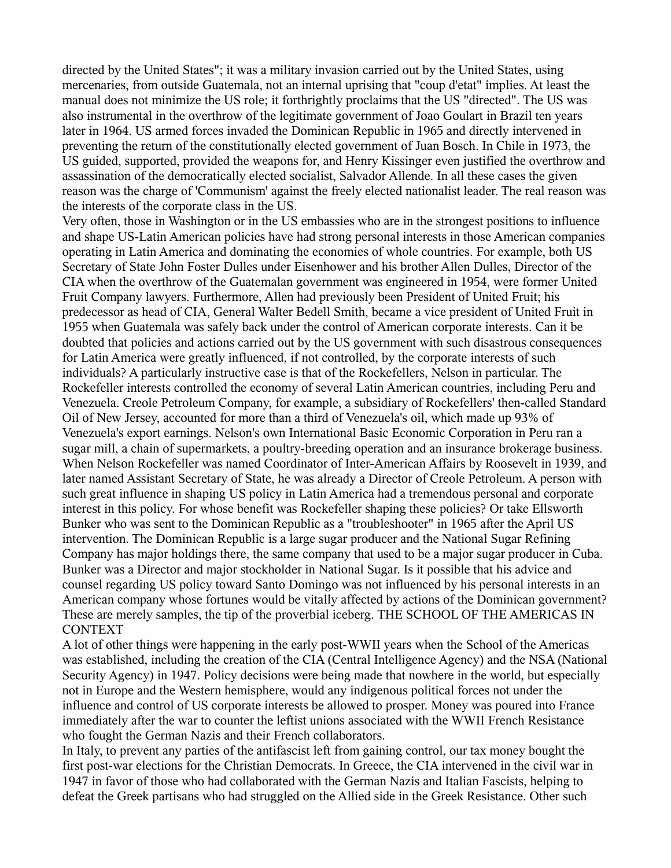directed by the United States"; it was a military invasion carried out by the United States, using mercenaries, from outside Guatemala, not an internal uprising that "coup d'etat" implies. At least the manual does not minimize the US role; it forthrightly proclaims that the US "directed". The US was also instrumental in the overthrow of the legitimate government of Joao Goulart in Brazil ten years later in 1964. US armed forces invaded the Dominican Republic in 1965 and directly intervened in preventing the return of the constitutionally elected government of Juan Bosch. In Chile in 1973, the US guided, supported, provided the weapons for, and Henry Kissinger even justified the overthrow and assassination of the democratically elected socialist, Salvador Allende. In all these cases the given reason was the charge of 'Communism' against the freely elected nationalist leader. The real reason was the interests of the corporate class in the US.

Very often, those in Washington or in the US embassies who are in the strongest positions to influence and shape US-Latin American policies have had strong personal interests in those American companies operating in Latin America and dominating the economies of whole countries. For example, both US Secretary of State John Foster Dulles under Eisenhower and his brother Allen Dulles, Director of the CIA when the overthrow of the Guatemalan government was engineered in 1954, were former United Fruit Company lawyers. Furthermore, Allen had previously been President of United Fruit; his predecessor as head of CIA, General Walter Bedell Smith, became a vice president of United Fruit in 1955 when Guatemala was safely back under the control of American corporate interests. Can it be doubted that policies and actions carried out by the US government with such disastrous consequences for Latin America were greatly influenced, if not controlled, by the corporate interests of such individuals? A particularly instructive case is that of the Rockefellers, Nelson in particular. The Rockefeller interests controlled the economy of several Latin American countries, including Peru and Venezuela. Creole Petroleum Company, for example, a subsidiary of Rockefellers' then-called Standard Oil of New Jersey, accounted for more than a third of Venezuela's oil, which made up 93% of Venezuela's export earnings. Nelson's own International Basic Economic Corporation in Peru ran a sugar mill, a chain of supermarkets, a poultry-breeding operation and an insurance brokerage business. When Nelson Rockefeller was named Coordinator of Inter-American Affairs by Roosevelt in 1939, and later named Assistant Secretary of State, he was already a Director of Creole Petroleum. A person with such great influence in shaping US policy in Latin America had a tremendous personal and corporate interest in this policy. For whose benefit was Rockefeller shaping these policies? Or take Ellsworth Bunker who was sent to the Dominican Republic as a "troubleshooter" in 1965 after the April US intervention. The Dominican Republic is a large sugar producer and the National Sugar Refining Company has major holdings there, the same company that used to be a major sugar producer in Cuba. Bunker was a Director and major stockholder in National Sugar. Is it possible that his advice and counsel regarding US policy toward Santo Domingo was not influenced by his personal interests in an American company whose fortunes would be vitally affected by actions of the Dominican government? These are merely samples, the tip of the proverbial iceberg. THE SCHOOL OF THE AMERICAS IN **CONTEXT** 

A lot of other things were happening in the early post-WWII years when the School of the Americas was established, including the creation of the CIA (Central Intelligence Agency) and the NSA (National Security Agency) in 1947. Policy decisions were being made that nowhere in the world, but especially not in Europe and the Western hemisphere, would any indigenous political forces not under the influence and control of US corporate interests be allowed to prosper. Money was poured into France immediately after the war to counter the leftist unions associated with the WWII French Resistance who fought the German Nazis and their French collaborators.

In Italy, to prevent any parties of the antifascist left from gaining control, our tax money bought the first post-war elections for the Christian Democrats. In Greece, the CIA intervened in the civil war in 1947 in favor of those who had collaborated with the German Nazis and Italian Fascists, helping to defeat the Greek partisans who had struggled on the Allied side in the Greek Resistance. Other such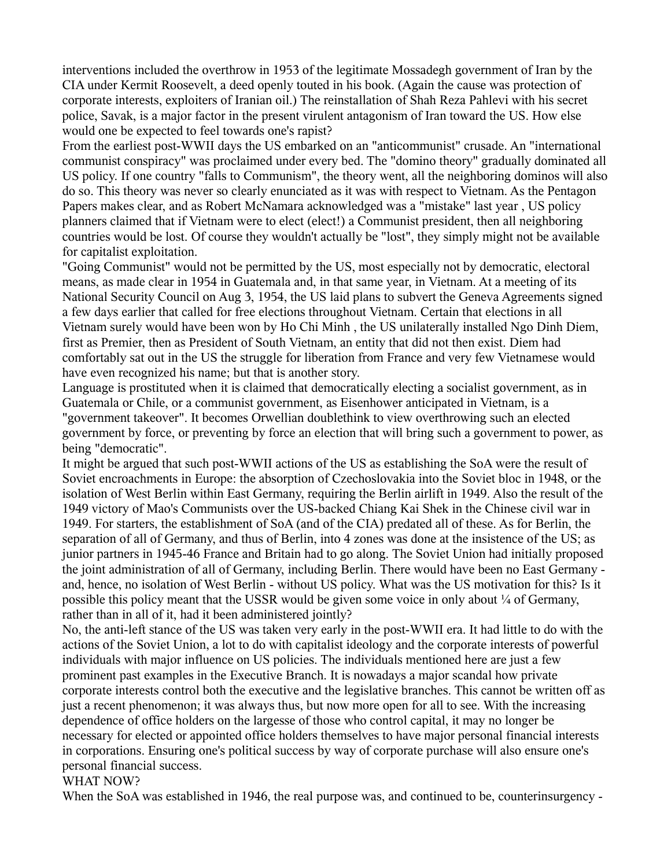interventions included the overthrow in 1953 of the legitimate Mossadegh government of Iran by the CIA under Kermit Roosevelt, a deed openly touted in his book. (Again the cause was protection of corporate interests, exploiters of Iranian oil.) The reinstallation of Shah Reza Pahlevi with his secret police, Savak, is a major factor in the present virulent antagonism of Iran toward the US. How else would one be expected to feel towards one's rapist?

From the earliest post-WWII days the US embarked on an "anticommunist" crusade. An "international communist conspiracy" was proclaimed under every bed. The "domino theory" gradually dominated all US policy. If one country "falls to Communism", the theory went, all the neighboring dominos will also do so. This theory was never so clearly enunciated as it was with respect to Vietnam. As the Pentagon Papers makes clear, and as Robert McNamara acknowledged was a "mistake" last year , US policy planners claimed that if Vietnam were to elect (elect!) a Communist president, then all neighboring countries would be lost. Of course they wouldn't actually be "lost", they simply might not be available for capitalist exploitation.

"Going Communist" would not be permitted by the US, most especially not by democratic, electoral means, as made clear in 1954 in Guatemala and, in that same year, in Vietnam. At a meeting of its National Security Council on Aug 3, 1954, the US laid plans to subvert the Geneva Agreements signed a few days earlier that called for free elections throughout Vietnam. Certain that elections in all Vietnam surely would have been won by Ho Chi Minh , the US unilaterally installed Ngo Dinh Diem, first as Premier, then as President of South Vietnam, an entity that did not then exist. Diem had comfortably sat out in the US the struggle for liberation from France and very few Vietnamese would have even recognized his name; but that is another story.

Language is prostituted when it is claimed that democratically electing a socialist government, as in Guatemala or Chile, or a communist government, as Eisenhower anticipated in Vietnam, is a "government takeover". It becomes Orwellian doublethink to view overthrowing such an elected government by force, or preventing by force an election that will bring such a government to power, as being "democratic".

It might be argued that such post-WWII actions of the US as establishing the SoA were the result of Soviet encroachments in Europe: the absorption of Czechoslovakia into the Soviet bloc in 1948, or the isolation of West Berlin within East Germany, requiring the Berlin airlift in 1949. Also the result of the 1949 victory of Mao's Communists over the US-backed Chiang Kai Shek in the Chinese civil war in 1949. For starters, the establishment of SoA (and of the CIA) predated all of these. As for Berlin, the separation of all of Germany, and thus of Berlin, into 4 zones was done at the insistence of the US; as junior partners in 1945-46 France and Britain had to go along. The Soviet Union had initially proposed the joint administration of all of Germany, including Berlin. There would have been no East Germany and, hence, no isolation of West Berlin - without US policy. What was the US motivation for this? Is it possible this policy meant that the USSR would be given some voice in only about  $\frac{1}{4}$  of Germany, rather than in all of it, had it been administered jointly?

No, the anti-left stance of the US was taken very early in the post-WWII era. It had little to do with the actions of the Soviet Union, a lot to do with capitalist ideology and the corporate interests of powerful individuals with major influence on US policies. The individuals mentioned here are just a few prominent past examples in the Executive Branch. It is nowadays a major scandal how private corporate interests control both the executive and the legislative branches. This cannot be written off as just a recent phenomenon; it was always thus, but now more open for all to see. With the increasing dependence of office holders on the largesse of those who control capital, it may no longer be necessary for elected or appointed office holders themselves to have major personal financial interests in corporations. Ensuring one's political success by way of corporate purchase will also ensure one's personal financial success.

## WHAT NOW?

When the SoA was established in 1946, the real purpose was, and continued to be, counterinsurgency -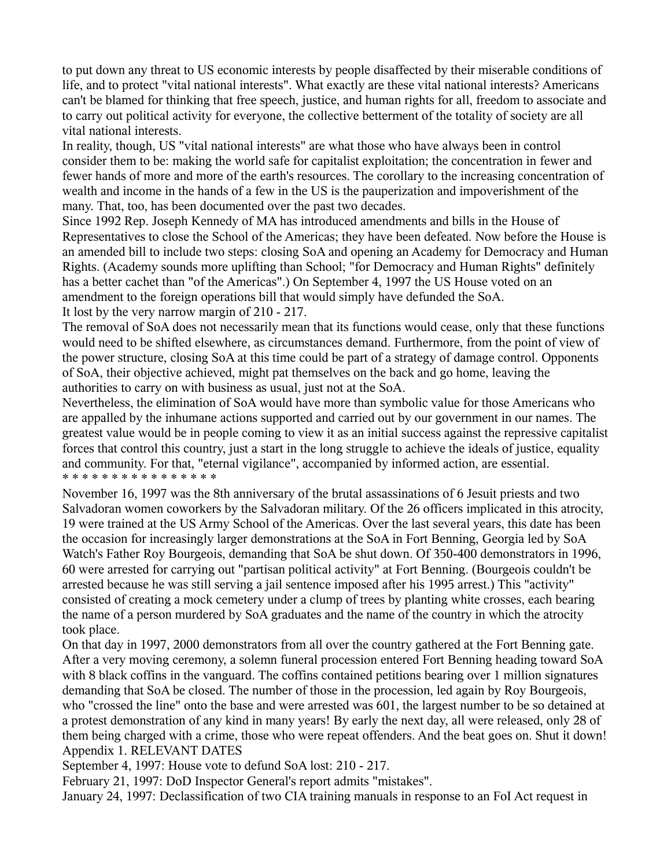to put down any threat to US economic interests by people disaffected by their miserable conditions of life, and to protect "vital national interests". What exactly are these vital national interests? Americans can't be blamed for thinking that free speech, justice, and human rights for all, freedom to associate and to carry out political activity for everyone, the collective betterment of the totality of society are all vital national interests.

In reality, though, US "vital national interests" are what those who have always been in control consider them to be: making the world safe for capitalist exploitation; the concentration in fewer and fewer hands of more and more of the earth's resources. The corollary to the increasing concentration of wealth and income in the hands of a few in the US is the pauperization and impoverishment of the many. That, too, has been documented over the past two decades.

Since 1992 Rep. Joseph Kennedy of MA has introduced amendments and bills in the House of Representatives to close the School of the Americas; they have been defeated. Now before the House is an amended bill to include two steps: closing SoA and opening an Academy for Democracy and Human Rights. (Academy sounds more uplifting than School; "for Democracy and Human Rights" definitely has a better cachet than "of the Americas".) On September 4, 1997 the US House voted on an amendment to the foreign operations bill that would simply have defunded the SoA. It lost by the very narrow margin of 210 - 217.

The removal of SoA does not necessarily mean that its functions would cease, only that these functions would need to be shifted elsewhere, as circumstances demand. Furthermore, from the point of view of the power structure, closing SoA at this time could be part of a strategy of damage control. Opponents of SoA, their objective achieved, might pat themselves on the back and go home, leaving the authorities to carry on with business as usual, just not at the SoA.

Nevertheless, the elimination of SoA would have more than symbolic value for those Americans who are appalled by the inhumane actions supported and carried out by our government in our names. The greatest value would be in people coming to view it as an initial success against the repressive capitalist forces that control this country, just a start in the long struggle to achieve the ideals of justice, equality and community. For that, "eternal vigilance", accompanied by informed action, are essential. \* \* \* \* \* \* \* \* \* \* \* \* \* \* \* \*

November 16, 1997 was the 8th anniversary of the brutal assassinations of 6 Jesuit priests and two Salvadoran women coworkers by the Salvadoran military. Of the 26 officers implicated in this atrocity, 19 were trained at the US Army School of the Americas. Over the last several years, this date has been the occasion for increasingly larger demonstrations at the SoA in Fort Benning, Georgia led by SoA Watch's Father Roy Bourgeois, demanding that SoA be shut down. Of 350-400 demonstrators in 1996, 60 were arrested for carrying out "partisan political activity" at Fort Benning. (Bourgeois couldn't be arrested because he was still serving a jail sentence imposed after his 1995 arrest.) This "activity" consisted of creating a mock cemetery under a clump of trees by planting white crosses, each bearing the name of a person murdered by SoA graduates and the name of the country in which the atrocity took place.

On that day in 1997, 2000 demonstrators from all over the country gathered at the Fort Benning gate. After a very moving ceremony, a solemn funeral procession entered Fort Benning heading toward SoA with 8 black coffins in the vanguard. The coffins contained petitions bearing over 1 million signatures demanding that SoA be closed. The number of those in the procession, led again by Roy Bourgeois, who "crossed the line" onto the base and were arrested was 601, the largest number to be so detained at a protest demonstration of any kind in many years! By early the next day, all were released, only 28 of them being charged with a crime, those who were repeat offenders. And the beat goes on. Shut it down! Appendix 1. RELEVANT DATES

September 4, 1997: House vote to defund SoA lost: 210 - 217.

February 21, 1997: DoD Inspector General's report admits "mistakes".

January 24, 1997: Declassification of two CIA training manuals in response to an FoI Act request in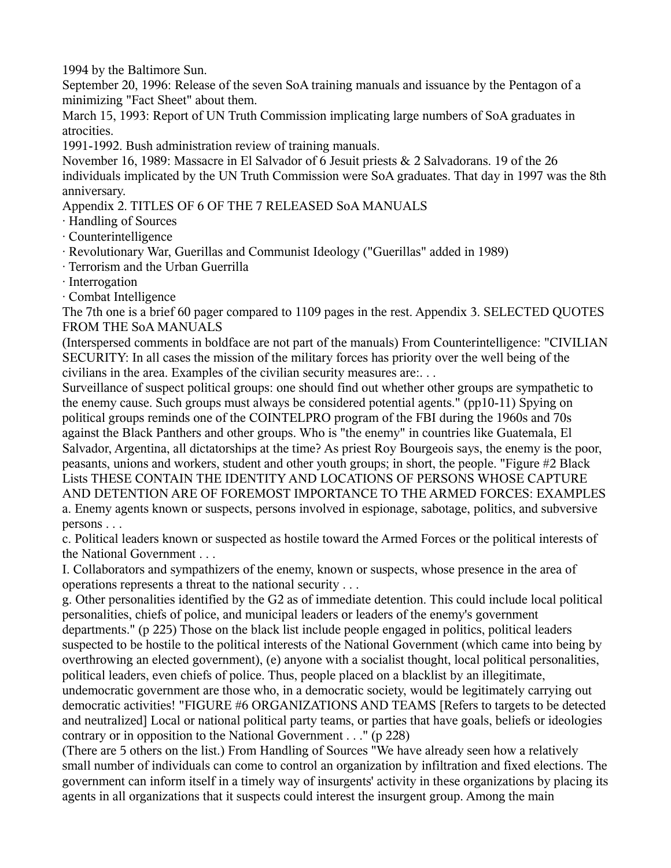1994 by the Baltimore Sun.

September 20, 1996: Release of the seven SoA training manuals and issuance by the Pentagon of a minimizing "Fact Sheet" about them.

March 15, 1993: Report of UN Truth Commission implicating large numbers of SoA graduates in atrocities.

1991-1992. Bush administration review of training manuals.

November 16, 1989: Massacre in El Salvador of 6 Jesuit priests & 2 Salvadorans. 19 of the 26 individuals implicated by the UN Truth Commission were SoA graduates. That day in 1997 was the 8th anniversary.

Appendix 2. TITLES OF 6 OF THE 7 RELEASED SoA MANUALS

· Handling of Sources

· Counterintelligence

· Revolutionary War, Guerillas and Communist Ideology ("Guerillas" added in 1989)

· Terrorism and the Urban Guerrilla

· Interrogation

· Combat Intelligence

The 7th one is a brief 60 pager compared to 1109 pages in the rest. Appendix 3. SELECTED QUOTES FROM THE SoA MANUALS

(Interspersed comments in boldface are not part of the manuals) From Counterintelligence: "CIVILIAN SECURITY: In all cases the mission of the military forces has priority over the well being of the civilians in the area. Examples of the civilian security measures are:. . .

Surveillance of suspect political groups: one should find out whether other groups are sympathetic to the enemy cause. Such groups must always be considered potential agents." (pp10-11) Spying on political groups reminds one of the COINTELPRO program of the FBI during the 1960s and 70s against the Black Panthers and other groups. Who is "the enemy" in countries like Guatemala, El Salvador, Argentina, all dictatorships at the time? As priest Roy Bourgeois says, the enemy is the poor, peasants, unions and workers, student and other youth groups; in short, the people. "Figure #2 Black Lists THESE CONTAIN THE IDENTITY AND LOCATIONS OF PERSONS WHOSE CAPTURE AND DETENTION ARE OF FOREMOST IMPORTANCE TO THE ARMED FORCES: EXAMPLES a. Enemy agents known or suspects, persons involved in espionage, sabotage, politics, and subversive persons . . .

c. Political leaders known or suspected as hostile toward the Armed Forces or the political interests of the National Government . . .

I. Collaborators and sympathizers of the enemy, known or suspects, whose presence in the area of operations represents a threat to the national security . . .

g. Other personalities identified by the G2 as of immediate detention. This could include local political personalities, chiefs of police, and municipal leaders or leaders of the enemy's government departments." (p 225) Those on the black list include people engaged in politics, political leaders suspected to be hostile to the political interests of the National Government (which came into being by overthrowing an elected government), (e) anyone with a socialist thought, local political personalities, political leaders, even chiefs of police. Thus, people placed on a blacklist by an illegitimate,

undemocratic government are those who, in a democratic society, would be legitimately carrying out democratic activities! "FIGURE #6 ORGANIZATIONS AND TEAMS [Refers to targets to be detected and neutralized] Local or national political party teams, or parties that have goals, beliefs or ideologies contrary or in opposition to the National Government . . ." (p 228)

(There are 5 others on the list.) From Handling of Sources "We have already seen how a relatively small number of individuals can come to control an organization by infiltration and fixed elections. The government can inform itself in a timely way of insurgents' activity in these organizations by placing its agents in all organizations that it suspects could interest the insurgent group. Among the main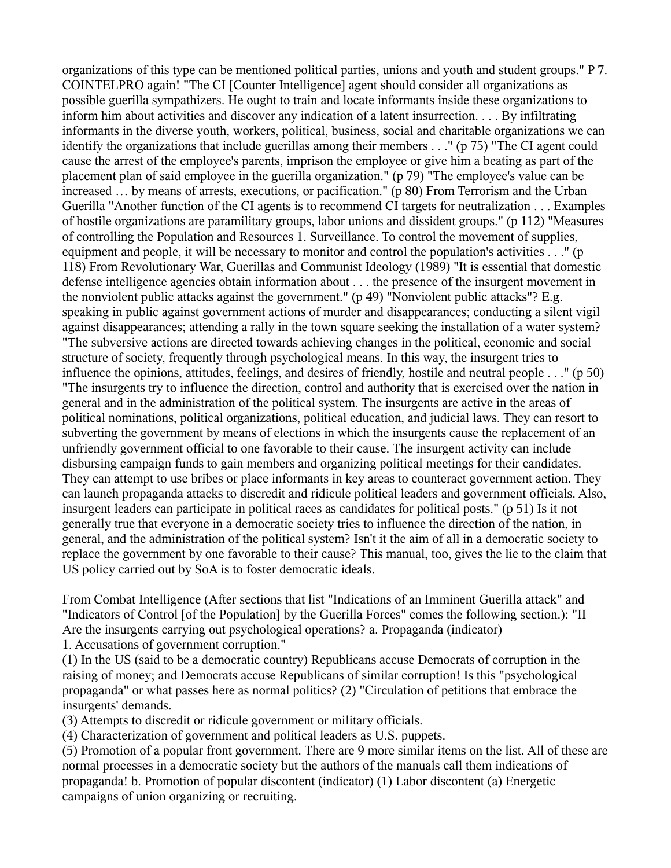organizations of this type can be mentioned political parties, unions and youth and student groups." P 7. COINTELPRO again! "The CI [Counter Intelligence] agent should consider all organizations as possible guerilla sympathizers. He ought to train and locate informants inside these organizations to inform him about activities and discover any indication of a latent insurrection. . . . By infiltrating informants in the diverse youth, workers, political, business, social and charitable organizations we can identify the organizations that include guerillas among their members . . ." (p 75) "The CI agent could cause the arrest of the employee's parents, imprison the employee or give him a beating as part of the placement plan of said employee in the guerilla organization." (p 79) "The employee's value can be increased … by means of arrests, executions, or pacification." (p 80) From Terrorism and the Urban Guerilla "Another function of the CI agents is to recommend CI targets for neutralization . . . Examples of hostile organizations are paramilitary groups, labor unions and dissident groups." (p 112) "Measures of controlling the Population and Resources 1. Surveillance. To control the movement of supplies, equipment and people, it will be necessary to monitor and control the population's activities . . ." (p 118) From Revolutionary War, Guerillas and Communist Ideology (1989) "It is essential that domestic defense intelligence agencies obtain information about . . . the presence of the insurgent movement in the nonviolent public attacks against the government." (p 49) "Nonviolent public attacks"? E.g. speaking in public against government actions of murder and disappearances; conducting a silent vigil against disappearances; attending a rally in the town square seeking the installation of a water system? "The subversive actions are directed towards achieving changes in the political, economic and social structure of society, frequently through psychological means. In this way, the insurgent tries to influence the opinions, attitudes, feelings, and desires of friendly, hostile and neutral people . . ." (p 50) "The insurgents try to influence the direction, control and authority that is exercised over the nation in general and in the administration of the political system. The insurgents are active in the areas of political nominations, political organizations, political education, and judicial laws. They can resort to subverting the government by means of elections in which the insurgents cause the replacement of an unfriendly government official to one favorable to their cause. The insurgent activity can include disbursing campaign funds to gain members and organizing political meetings for their candidates. They can attempt to use bribes or place informants in key areas to counteract government action. They can launch propaganda attacks to discredit and ridicule political leaders and government officials. Also, insurgent leaders can participate in political races as candidates for political posts." (p 51) Is it not generally true that everyone in a democratic society tries to influence the direction of the nation, in general, and the administration of the political system? Isn't it the aim of all in a democratic society to replace the government by one favorable to their cause? This manual, too, gives the lie to the claim that US policy carried out by SoA is to foster democratic ideals.

From Combat Intelligence (After sections that list "Indications of an Imminent Guerilla attack" and "Indicators of Control [of the Population] by the Guerilla Forces" comes the following section.): "II Are the insurgents carrying out psychological operations? a. Propaganda (indicator) 1. Accusations of government corruption."

(1) In the US (said to be a democratic country) Republicans accuse Democrats of corruption in the raising of money; and Democrats accuse Republicans of similar corruption! Is this "psychological propaganda" or what passes here as normal politics? (2) "Circulation of petitions that embrace the insurgents' demands.

(3) Attempts to discredit or ridicule government or military officials.

(4) Characterization of government and political leaders as U.S. puppets.

(5) Promotion of a popular front government. There are 9 more similar items on the list. All of these are normal processes in a democratic society but the authors of the manuals call them indications of propaganda! b. Promotion of popular discontent (indicator) (1) Labor discontent (a) Energetic campaigns of union organizing or recruiting.